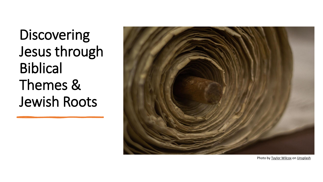Discovering Jesus through Biblical Themes & Jewish Roots



Photo by [Taylor Wilcox](https://unsplash.com/@taypaigey?utm_source=unsplash&utm_medium=referral&utm_content=creditCopyText) on [Unsplash](https://unsplash.com/collections/8mOHJzIeGhY/bible-torah-scripture?utm_source=unsplash&utm_medium=referral&utm_content=creditCopyText)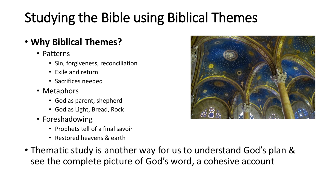# Studying the Bible using Biblical Themes

## • **Why Biblical Themes?**

- Patterns
	- Sin, forgiveness, reconciliation
	- Exile and return
	- Sacrifices needed
- Metaphors
	- God as parent, shepherd
	- God as Light, Bread, Rock
- Foreshadowing
	- Prophets tell of a final savoir
	- Restored heavens & earth
- Thematic study is another way for us to understand God's plan & see the complete picture of God's word, a cohesive account

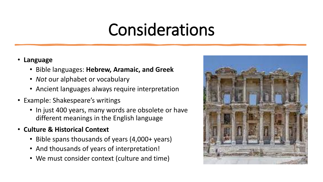# Considerations

### • **Language**

- Bible languages: **Hebrew, Aramaic, and Greek**
- *Not* our alphabet or vocabulary
- Ancient languages always require interpretation
- Example: Shakespeare's writings
	- In just 400 years, many words are obsolete or have different meanings in the English language
- **Culture & Historical Context**
	- Bible spans thousands of years (4,000+ years)
	- And thousands of years of interpretation!
	- We must consider context (culture and time)

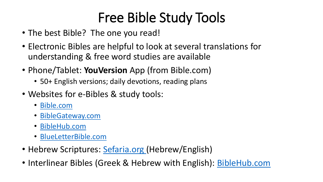# Free Bible Study Tools

- The best Bible? The one you read!
- Electronic Bibles are helpful to look at several translations for understanding & free word studies are available
- Phone/Tablet: **YouVersion** App (from Bible.com)
	- 50+ English versions; daily devotions, reading plans
- Websites for e-Bibles & study tools:
	- [Bible.com](https://www.bible.com/)
	- [BibleGateway.com](https://www.biblegateway.com/)
	- [BibleHub.com](https://biblehub.com/)
	- [BlueLetterBible.com](https://www.blueletterbible.org/)
- Hebrew Scriptures: [Sefaria.org \(](https://www.sefaria.org/texts)Hebrew/English)
- Interlinear Bibles (Greek & Hebrew with English): [BibleHub.com](http://www.biblehub.com/)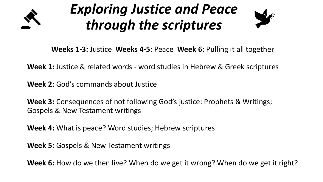

# *Exploring Justice and Peace through the scriptures*



**Weeks 1-3:** Justice **Weeks 4-5:** Peace **Week 6:** Pulling it all together

**Week 1:** Justice & related words - word studies in Hebrew & Greek scriptures

**Week 2:** God's commands about Justice

**Week 3:** Consequences of not following God's justice: Prophets & Writings; Gospels & New Testament writings

**Week 4:** What is peace? Word studies; Hebrew scriptures

**Week 5:** Gospels & New Testament writings

**Week 6:** How do we then live? When do we get it wrong? When do we get it right?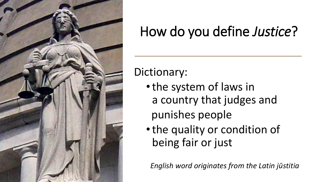

# How do you define *Justice*?

Dictionary:

- •the system of laws in a country that judges and punishes people
- •the quality or condition of being fair or just

*English word originates from the Latin jūstitia*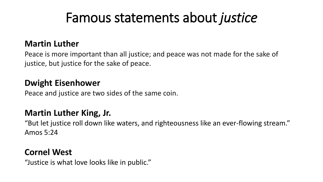## Famous statements about *justice*

### **Martin Luther**

Peace is more important than all justice; and peace was not made for the sake of justice, but justice for the sake of peace.

### **Dwight Eisenhower**

Peace and justice are two sides of the same coin.

### **Martin Luther King, Jr.**

"But let justice roll down like waters, and righteousness like an ever-flowing stream." Amos 5:24

### **Cornel West**

"Justice is what love looks like in public."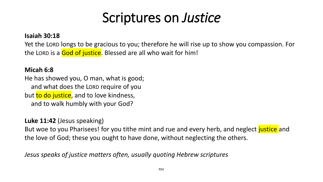## Scriptures on *Justice*

#### **Isaiah 30:18**

Yet the LORD longs to be gracious to you; therefore he will rise up to show you compassion. For the LORD is a God of justice. Blessed are all who wait for him!

#### **Micah 6:8**

He has showed you, O man, what is good; and what does the LORD require of you but to do justice, and to love kindness, and to walk humbly with your God?

### **Luke 11:42** (Jesus speaking)

But woe to you Pharisees! for you tithe mint and rue and every herb, and neglect justice and the love of God; these you ought to have done, without neglecting the others.

*Jesus speaks of justice matters often, usually quoting Hebrew scriptures*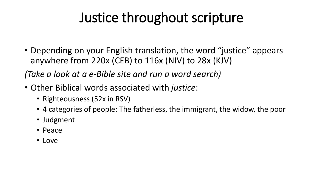## Justice throughout scripture

• Depending on your English translation, the word "justice" appears anywhere from 220x (CEB) to 116x (NIV) to 28x (KJV)

*(Take a look at a e-Bible site and run a word search)*

- Other Biblical words associated with *justice*:
	- Righteousness (52x in RSV)
	- 4 categories of people: The fatherless, the immigrant, the widow, the poor
	- Judgment
	- Peace
	- Love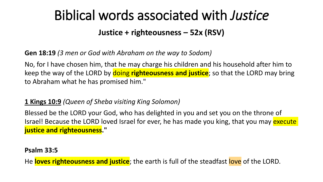## Biblical words associated with *Justice*

### **Justice + righteousness – 52x (RSV)**

**Gen 18:19** *(3 men or God with Abraham on the way to Sodom)*

No, for I have chosen him, that he may charge his children and his household after him to keep the way of the LORD by doing **righteousness and justice**; so that the LORD may bring to Abraham what he has promised him."

### **1 Kings 10:9** *(Queen of Sheba visiting King Solomon)*

Blessed be the LORD your God, who has delighted in you and set you on the throne of Israel! Because the LORD loved Israel for ever, he has made you king, that you may execute **justice and righteousness."**

**Psalm 33:5**

He **loves righteousness and justice**; the earth is full of the steadfast love of the LORD.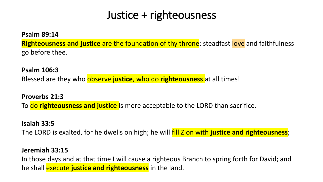## Justice + righteousness

**Psalm 89:14**

**Righteousness and justice** are the foundation of thy throne; steadfast love and faithfulness go before thee.

**Psalm 106:3** Blessed are they who observe **justice**, who do **righteousness** at all times!

**Proverbs 21:3** To do **righteousness and justice** is more acceptable to the LORD than sacrifice.

### **Isaiah 33:5**

The LORD is exalted, for he dwells on high; he will fill Zion with **justice and righteousness**;

### **Jeremiah 33:15**

In those days and at that time I will cause a righteous Branch to spring forth for David; and he shall execute **justice and righteousness** in the land.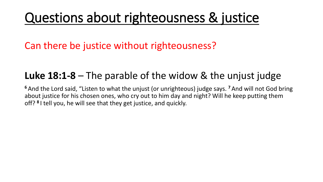## Questions about righteousness & justice

Can there be justice without righteousness?

## **Luke 18:1-8** – The parable of the widow & the unjust judge

**<sup>6</sup>** And the Lord said, "Listen to what the unjust (or unrighteous) judge says. **<sup>7</sup>** And will not God bring about justice for his chosen ones, who cry out to him day and night? Will he keep putting them off? **<sup>8</sup>** I tell you, he will see that they get justice, and quickly.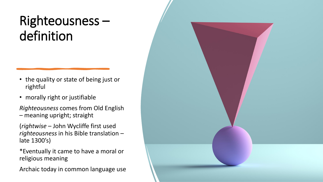## Righteousness – definition

- the quality or state of being just or rightful
- morally right or justifiable
- *Righteousness* comes from Old English – meaning upright; straight
- (*rightwise* John Wycliffe first used *righteousness* in his Bible translation – late 1300's)
- \*Eventually it came to have a moral or religious meaning
- Archaic today in common language use

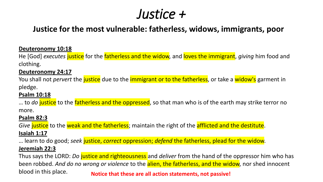## *Justice +*

### **Justice for the most vulnerable: fatherless, widows, immigrants, poor**

#### **Deuteronomy 10:18**

He [God] *executes* justice for the fatherless and the widow, and loves the immigrant, *giving* him food and clothing.

#### **Deuteronomy 24:17**

You shall not *pervert* the justice due to the immigrant or to the fatherless, or take a widow's garment in pledge.

#### **Psalm 10:18**

… to *do* justice to the fatherless and the oppressed, so that man who is of the earth may strike terror no more.

#### **Psalm 82:3**

*Give* justice to the weak and the fatherless; maintain the right of the afflicted and the destitute. **Isaiah 1:17**

… learn to do good; *seek* justice, *correct* oppression; *defend* the fatherless, plead for the widow. **Jeremiah 22:3**

Thus says the LORD: *Do* justice and righteousness and *deliver* from the hand of the oppressor him who has been robbed. *And do no wrong or violence* to the alien, the fatherless, and the widow, nor shed innocent blood in this place. **Notice that these are all action statements, not passive!**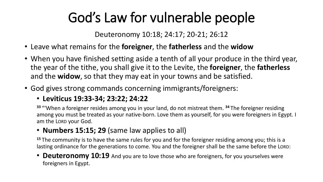# God's Law for vulnerable people

Deuteronomy 10:18; 24:17; 20-21; 26:12

- Leave what remains for the **foreigner**, the **fatherless** and the **widow**
- When you have finished setting aside a tenth of all your produce in the third year, the year of the tithe, you shall give it to the Levite, the **foreigner**, the **fatherless** and the **widow**, so that they may eat in your towns and be satisfied.
- God gives strong commands concerning immigrants/foreigners:

### • **Leviticus 19:33-34; 23:22; 24:22**

**<sup>33</sup>** "'When a foreigner resides among you in your land, do not mistreat them. **<sup>34</sup>** The foreigner residing among you must be treated as your native-born. Love them as yourself, for you were foreigners in Egypt. I am the LORD your God.

### • **Numbers 15:15; 29** (same law applies to all)

**<sup>15</sup>** The community is to have the same rules for you and for the foreigner residing among you; this is a lasting ordinance for the generations to come. You and the foreigner shall be the same before the LORD:

• **Deuteronomy 10:19** And you are to love those who are foreigners, for you yourselves were foreigners in Egypt.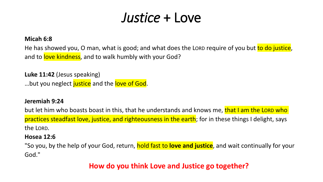## *Justice* + Love

#### **Micah 6:8**

He has showed you, O man, what is good; and what does the LORD require of you but to do justice, and to love kindness, and to walk humbly with your God?

**Luke 11:42** (Jesus speaking) ...but you neglect justice and the love of God.

#### **Jeremiah 9:24**

but let him who boasts boast in this, that he understands and knows me, that I am the LORD who practices steadfast love, justice, and righteousness in the earth; for in these things I delight, says the LORD.

#### **Hosea 12:6**

"So you, by the help of your God, return, hold fast to **love and justice**, and wait continually for your God."

### **How do you think Love and Justice go together?**